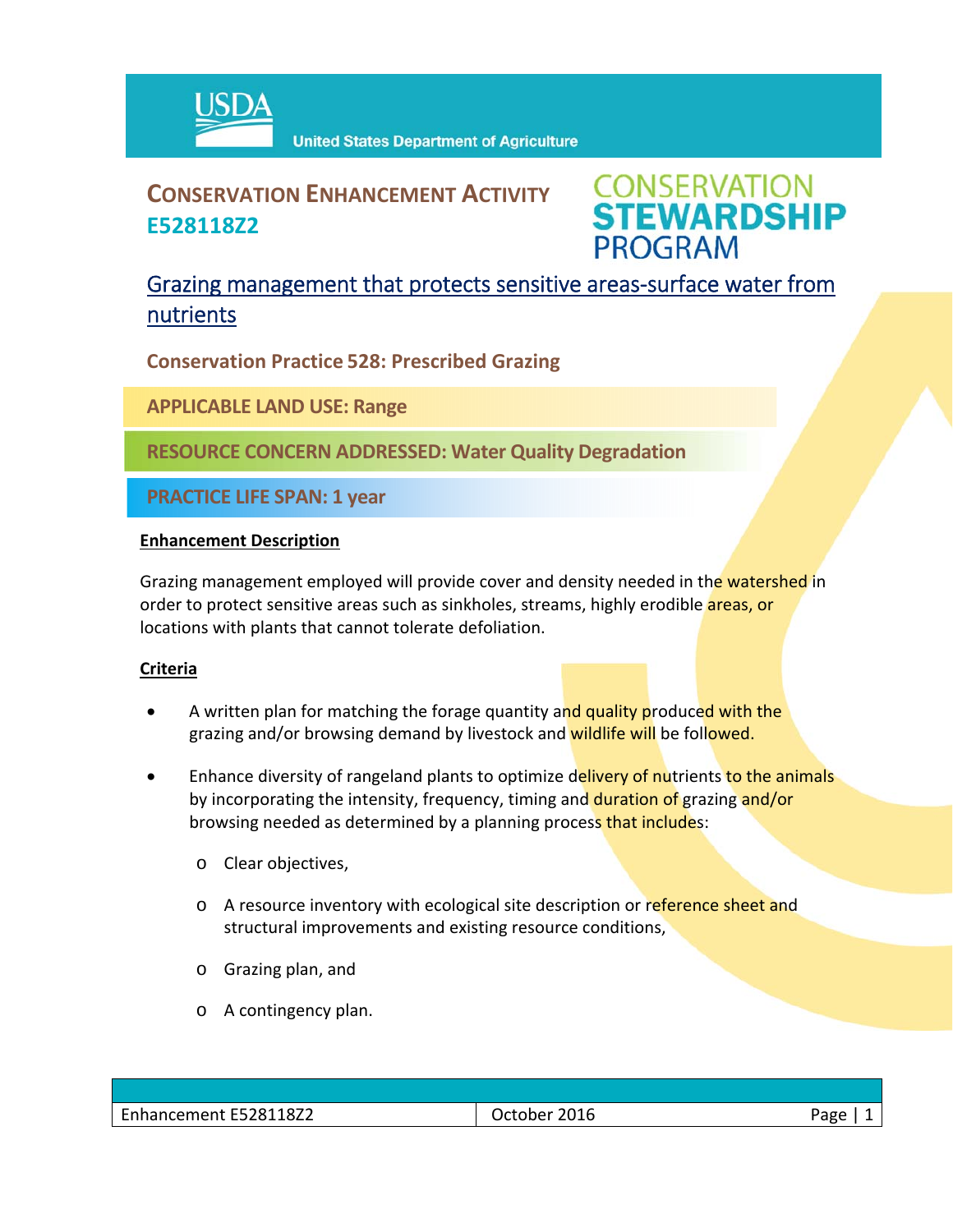

# **CONSERVATION ENHANCEMENT ACTIVITY E528118Z2**



## Grazing management that protects sensitive areas‐surface water from nutrients

**Conservation Practice 528: Prescribed Grazing**

**APPLICABLE LAND USE: Range**

**RESOURCE CONCERN ADDRESSED: Water Quality Degradation**

**PRACTICE LIFE SPAN: 1 year**

#### **Enhancement Description**

Grazing management employed will provide cover and density needed in the watershed in order to protect sensitive areas such as sinkholes, streams, highly erodible **areas, or** locations with plants that cannot tolerate defoliation.

### **Criteria**

- A written plan for matching the forage quantity and quality produced with the grazing and/or browsing demand by livestock and wildlife will be followed.
- Enhance diversity of rangeland plants to optimize delivery of nutrients to the animals by incorporating the intensity, frequency, timing and duration of grazing and/or browsing needed as determined by a planning process that includes:
	- o Clear objectives,
	- o A resource inventory with ecological site description or reference sheet and structural improvements and existing resource conditions,
	- o Grazing plan, and
	- o A contingency plan.

| Enhancement E528118Z2 | 2016<br>October | חסרי |
|-----------------------|-----------------|------|